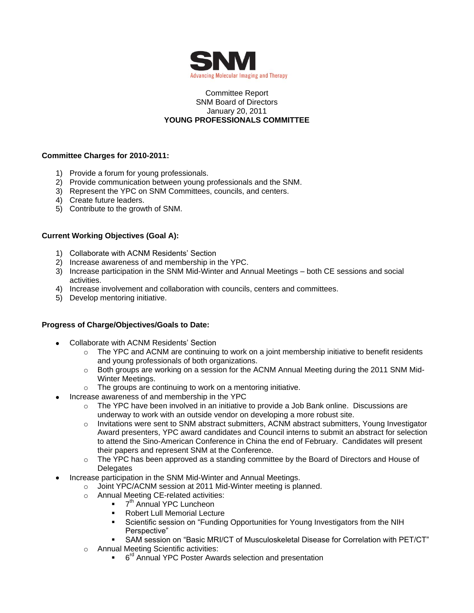

### Committee Report SNM Board of Directors January 20, 2011 **YOUNG PROFESSIONALS COMMITTEE**

## **Committee Charges for 2010-2011:**

- 1) Provide a forum for young professionals.
- 2) Provide communication between young professionals and the SNM.
- 3) Represent the YPC on SNM Committees, councils, and centers.
- 4) Create future leaders.
- 5) Contribute to the growth of SNM.

## **Current Working Objectives (Goal A):**

- 1) Collaborate with ACNM Residents' Section
- 2) Increase awareness of and membership in the YPC.
- 3) Increase participation in the SNM Mid-Winter and Annual Meetings both CE sessions and social activities.
- 4) Increase involvement and collaboration with councils, centers and committees.
- 5) Develop mentoring initiative.

### **Progress of Charge/Objectives/Goals to Date:**

- Collaborate with ACNM Residents' Section
	- $\circ$  The YPC and ACNM are continuing to work on a joint membership initiative to benefit residents and young professionals of both organizations.
	- $\circ$  Both groups are working on a session for the ACNM Annual Meeting during the 2011 SNM Mid-Winter Meetings.
	- o The groups are continuing to work on a mentoring initiative.
- Increase awareness of and membership in the YPC
	- $\circ$  The YPC have been involved in an initiative to provide a Job Bank online. Discussions are underway to work with an outside vendor on developing a more robust site.
	- $\circ$  Invitations were sent to SNM abstract submitters, ACNM abstract submitters, Young Investigator Award presenters, YPC award candidates and Council interns to submit an abstract for selection to attend the Sino-American Conference in China the end of February. Candidates will present their papers and represent SNM at the Conference.
	- $\circ$  The YPC has been approved as a standing committee by the Board of Directors and House of **Delegates**
- Increase participation in the SNM Mid-Winter and Annual Meetings.
	- o Joint YPC/ACNM session at 2011 Mid-Winter meeting is planned.
	- o Annual Meeting CE-related activities:
		- 7  $7<sup>th</sup>$  Annual YPC Luncheon
		- Robert Lull Memorial Lecture
		- Scientific session on "Funding Opportunities for Young Investigators from the NIH Perspective"
		- SAM session on "Basic MRI/CT of Musculoskeletal Disease for Correlation with PET/CT"
	- o Annual Meeting Scientific activities:
		- <sup>ord</sup> Annual YPC Poster Awards selection and presentation